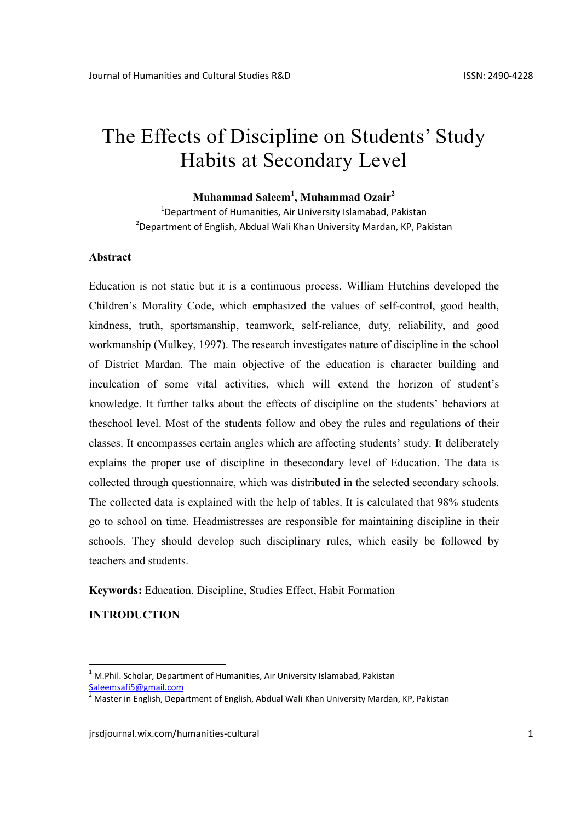# The Effects of Discipline on Students' Study Habits at Secondary Level

# Muhammad Saleem<sup>1</sup>, Muhammad Ozair<sup>2</sup>

<sup>1</sup>Department of Humanities, Air University Islamabad, Pakistan <sup>2</sup>Department of English, Abdual Wali Khan University Mardan, KP, Pakistan

#### Abstract

Education is not static but it is a continuous process. William Hutchins developed the Children's Morality Code, which emphasized the values of self-control, good health, kindness, truth, sportsmanship, teamwork, self-reliance, duty, reliability, and good workmanship (Mulkey, 1997). The research investigates nature of discipline in the school of District Mardan. The main objective of the education is character building and inculcation of some vital activities, which will extend the horizon of student's knowledge. It further talks about the effects of discipline on the students' behaviors at theschool level. Most of the students follow and obey the rules and regulations of their classes. It encompasses certain angles which are affecting students' study. It deliberately explains the proper use of discipline in thesecondary level of Education. The data is collected through questionnaire, which was distributed in the selected secondary schools. The collected data is explained with the help of tables. It is calculated that 98% students go to school on time. Headmistresses are responsible for maintaining discipline in their schools. They should develop such disciplinary rules, which easily be followed by teachers and students.

Keywords: Education, Discipline, Studies Effect, Habit Formation

# INTRODUCTION

 $1$  M.Phil. Scholar, Department of Humanities, Air University Islamabad, Pakistan Saleemsafi5@gmail.com

<sup>&</sup>lt;sup>2</sup> Master in English, Department of English, Abdual Wali Khan University Mardan, KP, Pakistan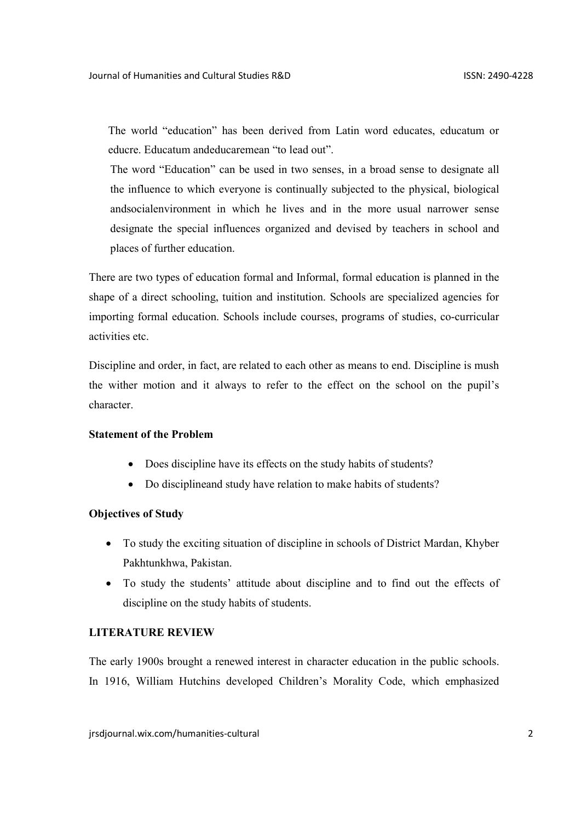The world "education" has been derived from Latin word educates, educatum or educre. Educatum andeducaremean "to lead out".

The word "Education" can be used in two senses, in a broad sense to designate all the influence to which everyone is continually subjected to the physical, biological andsocialenvironment in which he lives and in the more usual narrower sense designate the special influences organized and devised by teachers in school and places of further education.

There are two types of education formal and Informal, formal education is planned in the shape of a direct schooling, tuition and institution. Schools are specialized agencies for importing formal education. Schools include courses, programs of studies, co-curricular activities etc.

Discipline and order, in fact, are related to each other as means to end. Discipline is mush the wither motion and it always to refer to the effect on the school on the pupil's character.

## Statement of the Problem

- Does discipline have its effects on the study habits of students?
- Do disciplineand study have relation to make habits of students?

#### Objectives of Study

- To study the exciting situation of discipline in schools of District Mardan, Khyber Pakhtunkhwa, Pakistan.
- To study the students' attitude about discipline and to find out the effects of discipline on the study habits of students.

#### LITERATURE REVIEW

The early 1900s brought a renewed interest in character education in the public schools. In 1916, William Hutchins developed Children's Morality Code, which emphasized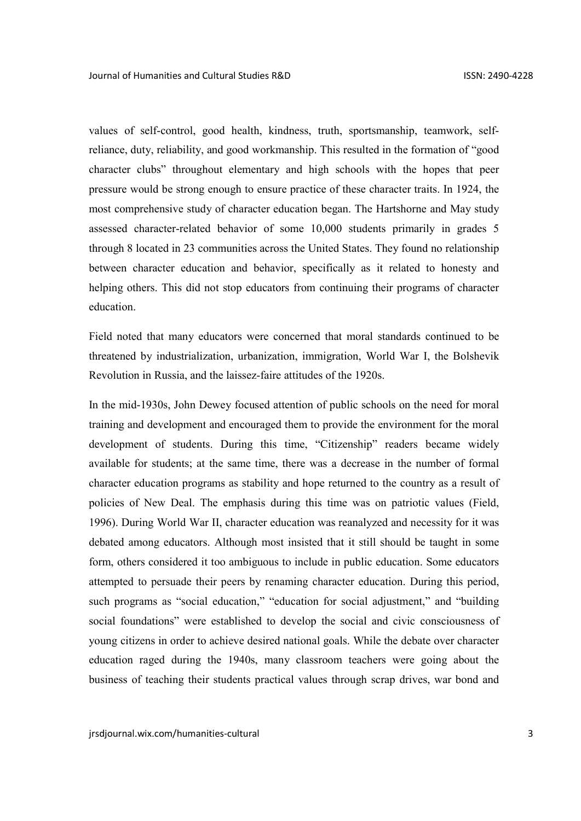values of self-control, good health, kindness, truth, sportsmanship, teamwork, selfreliance, duty, reliability, and good workmanship. This resulted in the formation of "good character clubs" throughout elementary and high schools with the hopes that peer pressure would be strong enough to ensure practice of these character traits. In 1924, the most comprehensive study of character education began. The Hartshorne and May study assessed character-related behavior of some 10,000 students primarily in grades 5 through 8 located in 23 communities across the United States. They found no relationship between character education and behavior, specifically as it related to honesty and helping others. This did not stop educators from continuing their programs of character education.

Field noted that many educators were concerned that moral standards continued to be threatened by industrialization, urbanization, immigration, World War I, the Bolshevik Revolution in Russia, and the laissez-faire attitudes of the 1920s.

In the mid-1930s, John Dewey focused attention of public schools on the need for moral training and development and encouraged them to provide the environment for the moral development of students. During this time, "Citizenship" readers became widely available for students; at the same time, there was a decrease in the number of formal character education programs as stability and hope returned to the country as a result of policies of New Deal. The emphasis during this time was on patriotic values (Field, 1996). During World War II, character education was reanalyzed and necessity for it was debated among educators. Although most insisted that it still should be taught in some form, others considered it too ambiguous to include in public education. Some educators attempted to persuade their peers by renaming character education. During this period, such programs as "social education," "education for social adjustment," and "building social foundations" were established to develop the social and civic consciousness of young citizens in order to achieve desired national goals. While the debate over character education raged during the 1940s, many classroom teachers were going about the business of teaching their students practical values through scrap drives, war bond and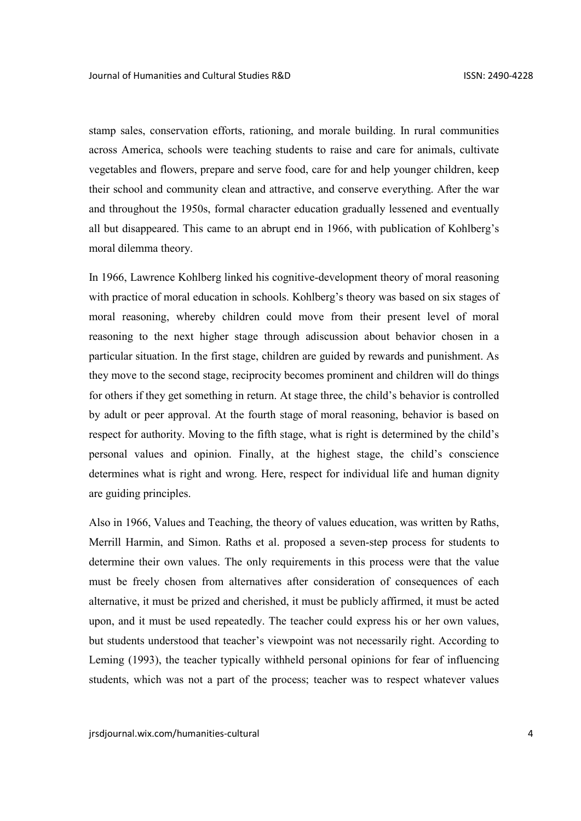stamp sales, conservation efforts, rationing, and morale building. In rural communities across America, schools were teaching students to raise and care for animals, cultivate vegetables and flowers, prepare and serve food, care for and help younger children, keep their school and community clean and attractive, and conserve everything. After the war and throughout the 1950s, formal character education gradually lessened and eventually all but disappeared. This came to an abrupt end in 1966, with publication of Kohlberg's moral dilemma theory.

In 1966, Lawrence Kohlberg linked his cognitive-development theory of moral reasoning with practice of moral education in schools. Kohlberg's theory was based on six stages of moral reasoning, whereby children could move from their present level of moral reasoning to the next higher stage through adiscussion about behavior chosen in a particular situation. In the first stage, children are guided by rewards and punishment. As they move to the second stage, reciprocity becomes prominent and children will do things for others if they get something in return. At stage three, the child's behavior is controlled by adult or peer approval. At the fourth stage of moral reasoning, behavior is based on respect for authority. Moving to the fifth stage, what is right is determined by the child's personal values and opinion. Finally, at the highest stage, the child's conscience determines what is right and wrong. Here, respect for individual life and human dignity are guiding principles.

Also in 1966, Values and Teaching, the theory of values education, was written by Raths, Merrill Harmin, and Simon. Raths et al. proposed a seven-step process for students to determine their own values. The only requirements in this process were that the value must be freely chosen from alternatives after consideration of consequences of each alternative, it must be prized and cherished, it must be publicly affirmed, it must be acted upon, and it must be used repeatedly. The teacher could express his or her own values, but students understood that teacher's viewpoint was not necessarily right. According to Leming (1993), the teacher typically withheld personal opinions for fear of influencing students, which was not a part of the process; teacher was to respect whatever values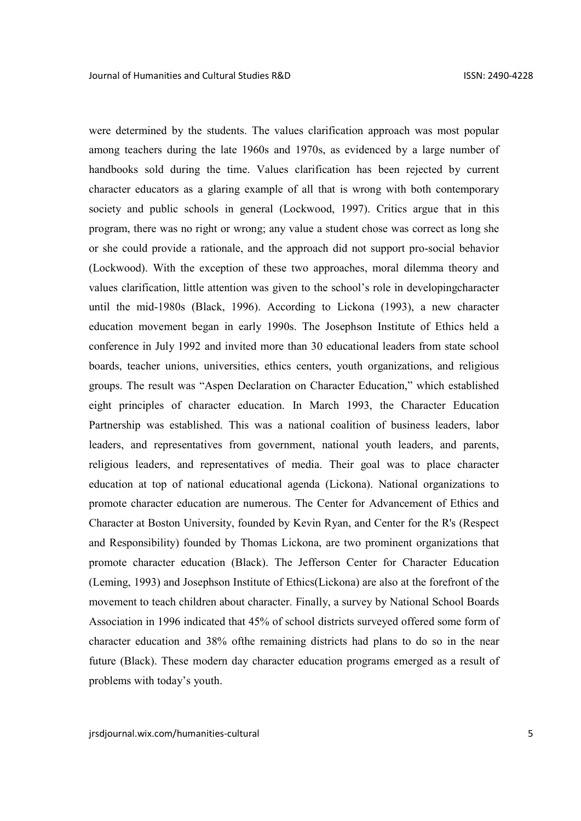were determined by the students. The values clarification approach was most popular among teachers during the late 1960s and 1970s, as evidenced by a large number of handbooks sold during the time. Values clarification has been rejected by current character educators as a glaring example of all that is wrong with both contemporary society and public schools in general (Lockwood, 1997). Critics argue that in this program, there was no right or wrong; any value a student chose was correct as long she or she could provide a rationale, and the approach did not support pro-social behavior (Lockwood). With the exception of these two approaches, moral dilemma theory and values clarification, little attention was given to the school's role in developingcharacter until the mid-1980s (Black, 1996). According to Lickona (1993), a new character education movement began in early 1990s. The Josephson Institute of Ethics held a conference in July 1992 and invited more than 30 educational leaders from state school boards, teacher unions, universities, ethics centers, youth organizations, and religious groups. The result was "Aspen Declaration on Character Education," which established eight principles of character education. In March 1993, the Character Education Partnership was established. This was a national coalition of business leaders, labor leaders, and representatives from government, national youth leaders, and parents, religious leaders, and representatives of media. Their goal was to place character education at top of national educational agenda (Lickona). National organizations to promote character education are numerous. The Center for Advancement of Ethics and Character at Boston University, founded by Kevin Ryan, and Center for the R's (Respect and Responsibility) founded by Thomas Lickona, are two prominent organizations that promote character education (Black). The Jefferson Center for Character Education (Leming, 1993) and Josephson Institute of Ethics(Lickona) are also at the forefront of the movement to teach children about character. Finally, a survey by National School Boards Association in 1996 indicated that 45% of school districts surveyed offered some form of character education and 38% ofthe remaining districts had plans to do so in the near future (Black). These modern day character education programs emerged as a result of problems with today's youth.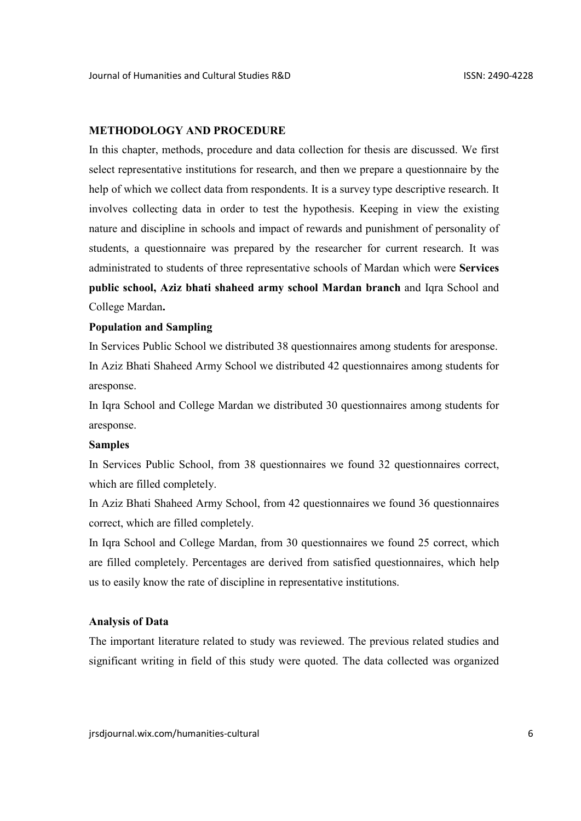#### METHODOLOGY AND PROCEDURE

In this chapter, methods, procedure and data collection for thesis are discussed. We first select representative institutions for research, and then we prepare a questionnaire by the help of which we collect data from respondents. It is a survey type descriptive research. It involves collecting data in order to test the hypothesis. Keeping in view the existing nature and discipline in schools and impact of rewards and punishment of personality of students, a questionnaire was prepared by the researcher for current research. It was administrated to students of three representative schools of Mardan which were Services public school, Aziz bhati shaheed army school Mardan branch and Iqra School and College Mardan.

#### Population and Sampling

In Services Public School we distributed 38 questionnaires among students for aresponse. In Aziz Bhati Shaheed Army School we distributed 42 questionnaires among students for aresponse.

In Iqra School and College Mardan we distributed 30 questionnaires among students for aresponse.

#### Samples

In Services Public School, from 38 questionnaires we found 32 questionnaires correct, which are filled completely.

In Aziz Bhati Shaheed Army School, from 42 questionnaires we found 36 questionnaires correct, which are filled completely.

In Iqra School and College Mardan, from 30 questionnaires we found 25 correct, which are filled completely. Percentages are derived from satisfied questionnaires, which help us to easily know the rate of discipline in representative institutions.

#### Analysis of Data

The important literature related to study was reviewed. The previous related studies and significant writing in field of this study were quoted. The data collected was organized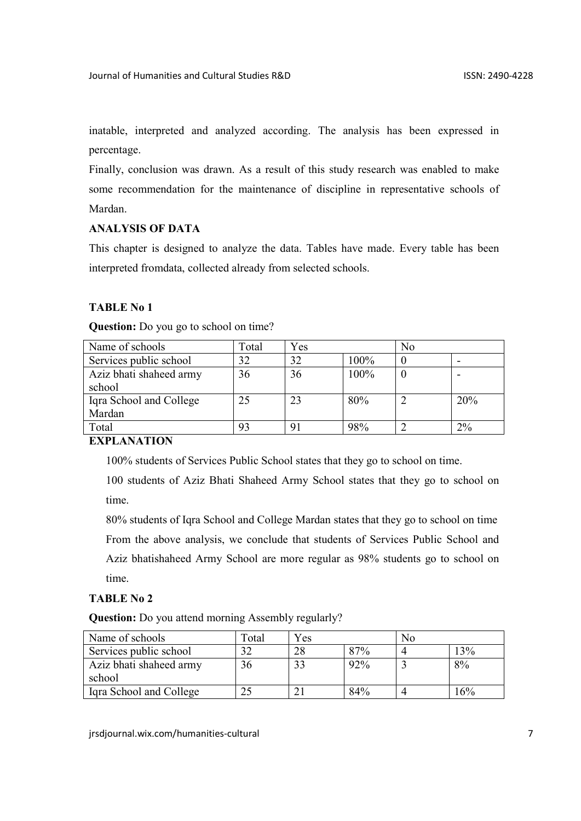inatable, interpreted and analyzed according. The analysis has been expressed in percentage.

Finally, conclusion was drawn. As a result of this study research was enabled to make some recommendation for the maintenance of discipline in representative schools of Mardan.

## ANALYSIS OF DATA

This chapter is designed to analyze the data. Tables have made. Every table has been interpreted fromdata, collected already from selected schools.

## TABLE No 1

| <b>Question:</b> Do you go to school on time? |  |  |  |  |  |
|-----------------------------------------------|--|--|--|--|--|
|-----------------------------------------------|--|--|--|--|--|

| Name of schools         | Total | Yes |      | No |       |
|-------------------------|-------|-----|------|----|-------|
| Services public school  | 32    | 32  | 100% |    |       |
| Aziz bhati shaheed army | 36    | 36  | 100% |    |       |
| school                  |       |     |      |    |       |
| Iqra School and College | 25    | 23  | 80%  |    | 20%   |
| Mardan                  |       |     |      |    |       |
| Total                   | 93    |     | 98%  |    | $2\%$ |

## EXPLANATION

100% students of Services Public School states that they go to school on time.

100 students of Aziz Bhati Shaheed Army School states that they go to school on time.

80% students of Iqra School and College Mardan states that they go to school on time From the above analysis, we conclude that students of Services Public School and Aziz bhatishaheed Army School are more regular as 98% students go to school on time.

## TABLE No 2

Question: Do you attend morning Assembly regularly?

| Name of schools                   | $\Gamma$ otal | Yes |     | N0 |     |
|-----------------------------------|---------------|-----|-----|----|-----|
| Services public school            | 30            | 28  | 87% |    | 3%  |
| Aziz bhati shaheed army<br>school | 36            | 33  | 92% |    | 8%  |
| Igra School and College           |               |     | 84% |    | 16% |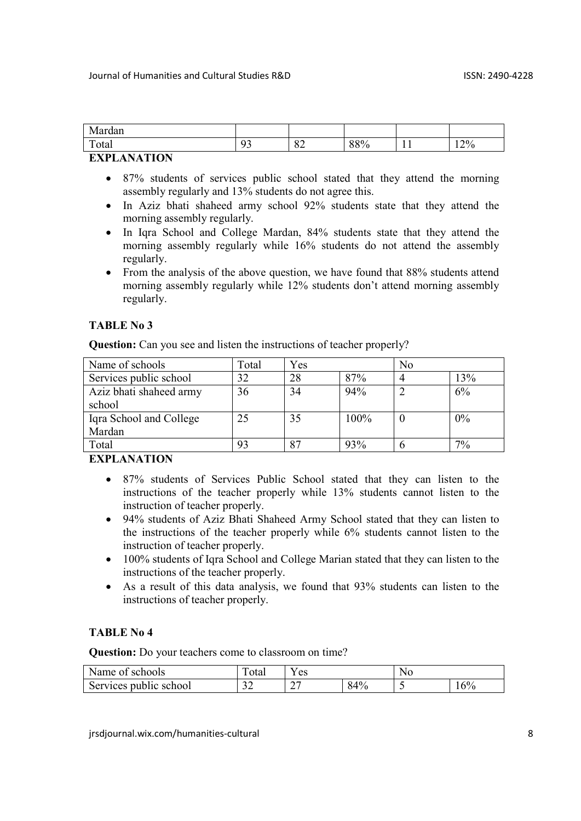| $\mathbf{v}$<br>. .<br>Mardan |              |                |     |            |     |
|-------------------------------|--------------|----------------|-----|------------|-----|
| m<br><sup>otal</sup>          | $\Omega$<br> | $\Omega$<br>ÖŹ | 88% | . .<br>- - | 12% |

- 87% students of services public school stated that they attend the morning assembly regularly and 13% students do not agree this.
- In Aziz bhati shaheed army school 92% students state that they attend the morning assembly regularly.
- In Igra School and College Mardan, 84% students state that they attend the morning assembly regularly while 16% students do not attend the assembly regularly.
- From the analysis of the above question, we have found that 88% students attend morning assembly regularly while 12% students don't attend morning assembly regularly.

## TABLE No 3

Question: Can you see and listen the instructions of teacher properly?

| Name of schools         | Total | Yes |      | N <sub>0</sub> |     |
|-------------------------|-------|-----|------|----------------|-----|
| Services public school  | 32    | 28  | 87%  | 4              | 13% |
| Aziz bhati shaheed army | 36    | 34  | 94%  |                | 6%  |
| school                  |       |     |      |                |     |
| Iqra School and College | 25    | 35  | 100% |                | 0%  |
| Mardan                  |       |     |      |                |     |
| Total                   | 93    | 87  | 93%  |                | 7%  |

## **EXPLANATION**

- 87% students of Services Public School stated that they can listen to the instructions of the teacher properly while 13% students cannot listen to the instruction of teacher properly.
- 94% students of Aziz Bhati Shaheed Army School stated that they can listen to the instructions of the teacher properly while 6% students cannot listen to the instruction of teacher properly.
- 100% students of Iqra School and College Marian stated that they can listen to the instructions of the teacher properly.
- As a result of this data analysis, we found that 93% students can listen to the instructions of teacher properly.

## TABLE No 4

Question: Do your teachers come to classroom on time?

| Name of schools        | m<br>otal     | Y es |     | No |     |
|------------------------|---------------|------|-----|----|-----|
| Services public school | $\sim$<br>ے ر | ∼    | 84% |    | 16% |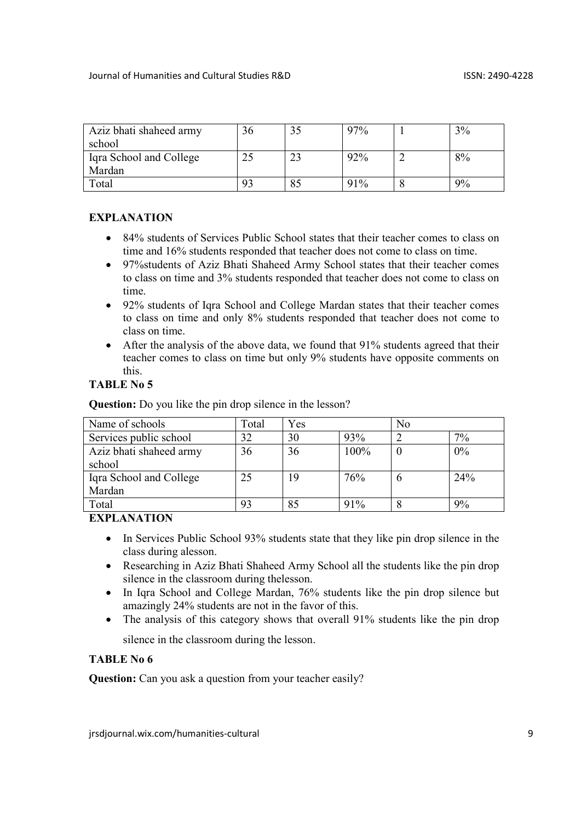| Aziz bhati shaheed army | 36 | 97% | 3% |
|-------------------------|----|-----|----|
| school                  |    |     |    |
| Iqra School and College |    | 92% | 8% |
| Mardan                  |    |     |    |
| Total                   | 93 | 91% | 9% |

- 84% students of Services Public School states that their teacher comes to class on time and 16% students responded that teacher does not come to class on time.
- 97%students of Aziz Bhati Shaheed Army School states that their teacher comes to class on time and 3% students responded that teacher does not come to class on time.
- 92% students of Igra School and College Mardan states that their teacher comes to class on time and only 8% students responded that teacher does not come to class on time.
- After the analysis of the above data, we found that 91% students agreed that their teacher comes to class on time but only 9% students have opposite comments on this.

## TABLE No 5

Question: Do you like the pin drop silence in the lesson?

| Name of schools         | Total | Yes |      | N <sub>0</sub> |     |
|-------------------------|-------|-----|------|----------------|-----|
| Services public school  | 32    | 30  | 93%  |                | 7%  |
| Aziz bhati shaheed army | 36    | 36  | 100% |                | 0%  |
| school                  |       |     |      |                |     |
| Iqra School and College | 25    | 19  | 76%  | O              | 24% |
| Mardan                  |       |     |      |                |     |
| Total                   | 93    |     | 91%  |                | 9%  |

## **EXPLANATION**

- In Services Public School 93% students state that they like pin drop silence in the class during alesson.
- Researching in Aziz Bhati Shaheed Army School all the students like the pin drop silence in the classroom during thelesson.
- In Igra School and College Mardan, 76% students like the pin drop silence but amazingly 24% students are not in the favor of this.
- The analysis of this category shows that overall 91% students like the pin drop silence in the classroom during the lesson.

## TABLE No 6

**Question:** Can you ask a question from your teacher easily?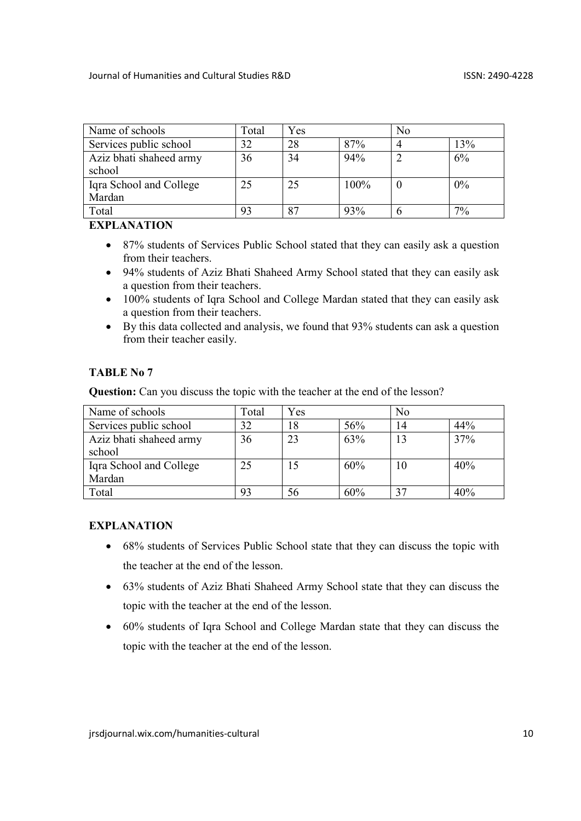| Name of schools         | Total | Yes |      | N <sub>o</sub> |     |  |
|-------------------------|-------|-----|------|----------------|-----|--|
| Services public school  | 32    | 28  | 87%  |                | 13% |  |
| Aziz bhati shaheed army | 36    | 34  | 94%  |                | 6%  |  |
| school                  |       |     |      |                |     |  |
| Iqra School and College | 25    | 25  | 100% |                | 0%  |  |
| Mardan                  |       |     |      |                |     |  |
| Total                   |       |     | 93%  |                | 7%  |  |

- 87% students of Services Public School stated that they can easily ask a question from their teachers.
- 94% students of Aziz Bhati Shaheed Army School stated that they can easily ask a question from their teachers.
- 100% students of Iqra School and College Mardan stated that they can easily ask a question from their teachers.
- By this data collected and analysis, we found that 93% students can ask a question from their teacher easily.

## TABLE No 7

Question: Can you discuss the topic with the teacher at the end of the lesson?

| Name of schools         | Total | Yes |     | N <sub>0</sub> |     |
|-------------------------|-------|-----|-----|----------------|-----|
| Services public school  | 32    | 18  | 56% | 14             | 44% |
| Aziz bhati shaheed army | 36    | 23  | 63% | 13             | 37% |
| school                  |       |     |     |                |     |
| Iqra School and College | 25    |     | 60% | 10             | 40% |
| Mardan                  |       |     |     |                |     |
| Total                   | 93    | 56  | 60% |                | 40% |

## EXPLANATION

- 68% students of Services Public School state that they can discuss the topic with the teacher at the end of the lesson.
- 63% students of Aziz Bhati Shaheed Army School state that they can discuss the topic with the teacher at the end of the lesson.
- 60% students of Iqra School and College Mardan state that they can discuss the topic with the teacher at the end of the lesson.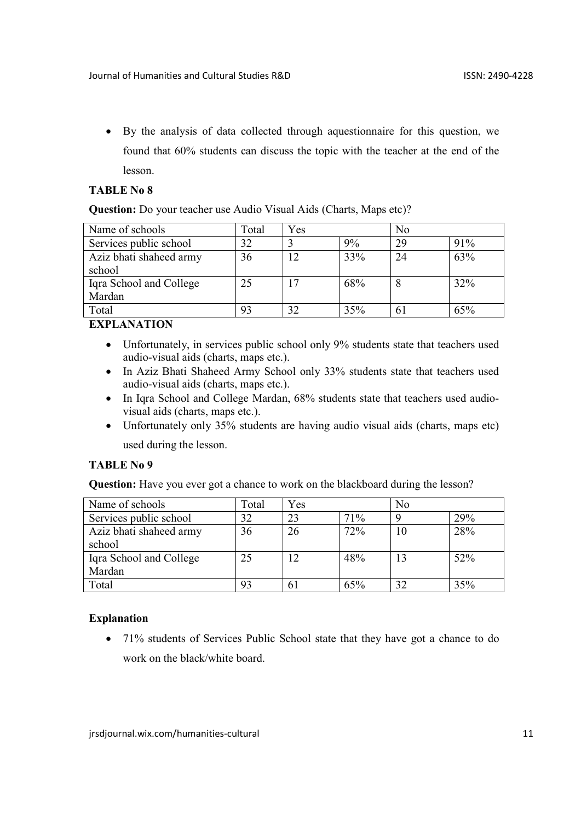By the analysis of data collected through aquestionnaire for this question, we found that 60% students can discuss the topic with the teacher at the end of the lesson.

### TABLE No 8

Question: Do your teacher use Audio Visual Aids (Charts, Maps etc)?

| Name of schools         | Total | Yes |     | N <sub>0</sub> |     |
|-------------------------|-------|-----|-----|----------------|-----|
| Services public school  | 32    |     | 9%  | 29             | 91% |
| Aziz bhati shaheed army | 36    | 12  | 33% | 24             | 63% |
| school                  |       |     |     |                |     |
| Iqra School and College | 25    |     | 68% |                | 32% |
| Mardan                  |       |     |     |                |     |
| Total                   | 93    | 32  | 35% | 61             | 65% |

## EXPLANATION

- Unfortunately, in services public school only 9% students state that teachers used audio-visual aids (charts, maps etc.).
- In Aziz Bhati Shaheed Army School only 33% students state that teachers used audio-visual aids (charts, maps etc.).
- In Iqra School and College Mardan, 68% students state that teachers used audiovisual aids (charts, maps etc.).
- Unfortunately only 35% students are having audio visual aids (charts, maps etc) used during the lesson.

## TABLE No 9

Question: Have you ever got a chance to work on the blackboard during the lesson?

| Name of schools         | Total | Yes |     | N <sub>0</sub> |     |
|-------------------------|-------|-----|-----|----------------|-----|
| Services public school  | 32    | 23  | 71% |                | 29% |
| Aziz bhati shaheed army | 36    | 26  | 72% | 10             | 28% |
| school                  |       |     |     |                |     |
| Iqra School and College | 25    |     | 48% | 13             | 52% |
| Mardan                  |       |     |     |                |     |
| Total                   | 93    |     | 65% | 32             | 35% |

## Explanation

• 71% students of Services Public School state that they have got a chance to do work on the black/white board.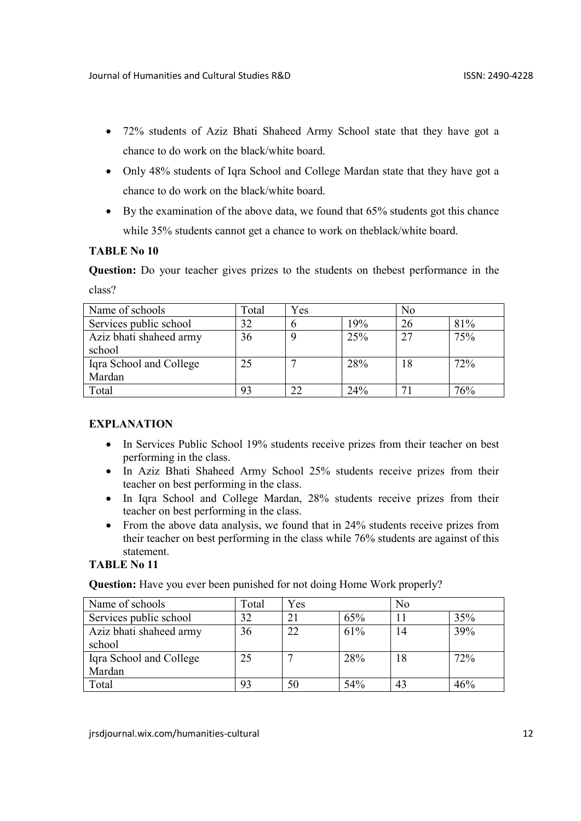- 72% students of Aziz Bhati Shaheed Army School state that they have got a chance to do work on the black/white board.
- Only 48% students of Iqra School and College Mardan state that they have got a chance to do work on the black/white board.
- By the examination of the above data, we found that 65% students got this chance while 35% students cannot get a chance to work on theblack/white board.

# TABLE No 10

Question: Do your teacher gives prizes to the students on thebest performance in the class?

| Name of schools         | Total | Yes |     | No |     |
|-------------------------|-------|-----|-----|----|-----|
| Services public school  | 32    |     | 19% | 26 | 81% |
| Aziz bhati shaheed army | 36    |     | 25% | 27 | 75% |
| school                  |       |     |     |    |     |
| Iqra School and College | 25    |     | 28% | 18 | 72% |
| Mardan                  |       |     |     |    |     |
| Total                   | 93    | つつ  | 24% |    | 76% |

# **EXPLANATION**

- In Services Public School 19% students receive prizes from their teacher on best performing in the class.
- In Aziz Bhati Shaheed Army School 25% students receive prizes from their teacher on best performing in the class.
- In Iqra School and College Mardan, 28% students receive prizes from their teacher on best performing in the class.
- From the above data analysis, we found that in 24% students receive prizes from their teacher on best performing in the class while 76% students are against of this statement.

## TABLE No 11

Question: Have you ever been punished for not doing Home Work properly?

| Name of schools         | Total | Yes |     | N <sub>0</sub> |     |
|-------------------------|-------|-----|-----|----------------|-----|
| Services public school  | 32    |     | 65% |                | 35% |
| Aziz bhati shaheed army | 36    | 22  | 61% | 14             | 39% |
| school                  |       |     |     |                |     |
| Iqra School and College | 25    |     | 28% | 18             | 72% |
| Mardan                  |       |     |     |                |     |
| Total                   | 93    | 50  | 54% | 43             | 46% |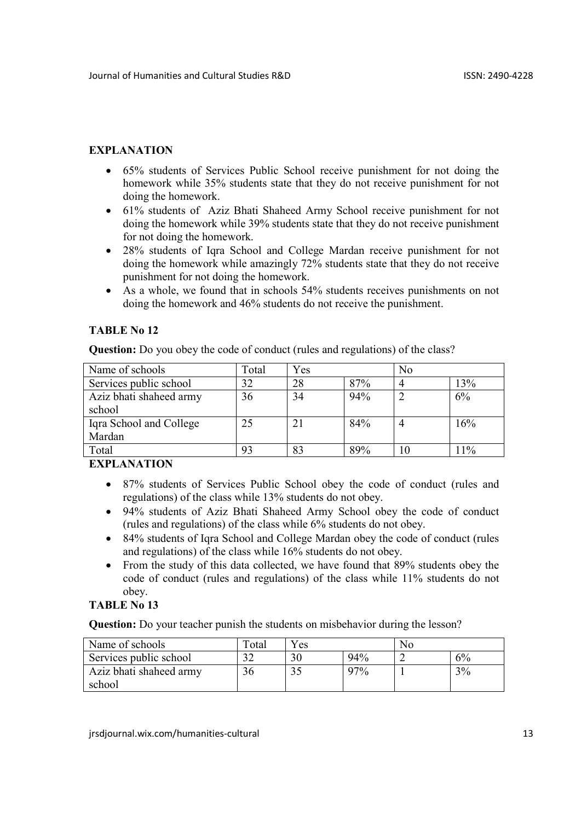- 65% students of Services Public School receive punishment for not doing the homework while 35% students state that they do not receive punishment for not doing the homework.
- 61% students of Aziz Bhati Shaheed Army School receive punishment for not doing the homework while 39% students state that they do not receive punishment for not doing the homework.
- 28% students of Iqra School and College Mardan receive punishment for not doing the homework while amazingly 72% students state that they do not receive punishment for not doing the homework.
- As a whole, we found that in schools 54% students receives punishments on not doing the homework and 46% students do not receive the punishment.

# TABLE No 12

Question: Do you obey the code of conduct (rules and regulations) of the class?

| Name of schools         | Total | Yes |     | N <sub>0</sub> |     |
|-------------------------|-------|-----|-----|----------------|-----|
| Services public school  | 32    | 28  | 87% |                | 13% |
| Aziz bhati shaheed army | 36    | 34  | 94% |                | 6%  |
| school                  |       |     |     |                |     |
| Iqra School and College | 25    | 21  | 84% |                | 16% |
| Mardan                  |       |     |     |                |     |
| Total                   | 93    | 83  | 89% | 10             | 11% |

# **EXPLANATION**

- 87% students of Services Public School obey the code of conduct (rules and regulations) of the class while 13% students do not obey.
- 94% students of Aziz Bhati Shaheed Army School obey the code of conduct (rules and regulations) of the class while 6% students do not obey.
- 84% students of Iqra School and College Mardan obey the code of conduct (rules and regulations) of the class while 16% students do not obey.
- From the study of this data collected, we have found that 89% students obey the code of conduct (rules and regulations) of the class while 11% students do not obey.

# TABLE No 13

Question: Do your teacher punish the students on misbehavior during the lesson?

| Name of schools         | Total    | Yes |     | Nο |    |
|-------------------------|----------|-----|-----|----|----|
| Services public school  | $\gamma$ |     | 94% |    | 6% |
| Aziz bhati shaheed army |          |     | 97% |    | 3% |
| school                  |          |     |     |    |    |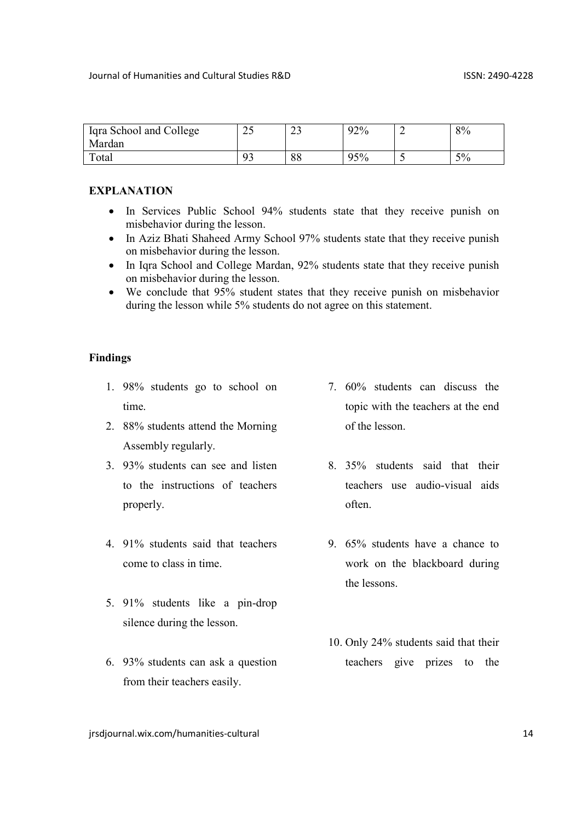| Iqra School and College<br>Mardan | $\cap$<br>ر_ | $\sim$<br>ر_ | 92% |                          | 8% |
|-----------------------------------|--------------|--------------|-----|--------------------------|----|
| Total                             | റാ           | 88           | 95% | $\overline{\phantom{0}}$ | 5% |

- In Services Public School 94% students state that they receive punish on misbehavior during the lesson.
- In Aziz Bhati Shaheed Army School 97% students state that they receive punish on misbehavior during the lesson.
- In Iqra School and College Mardan, 92% students state that they receive punish on misbehavior during the lesson.
- We conclude that 95% student states that they receive punish on misbehavior during the lesson while 5% students do not agree on this statement.

#### Findings

- 1. 98% students go to school on time.
- 2. 88% students attend the Morning Assembly regularly.
- 3. 93% students can see and listen to the instructions of teachers properly.
- 4. 91% students said that teachers come to class in time.
- 5. 91% students like a pin-drop silence during the lesson.
- 6. 93% students can ask a question from their teachers easily.
- 7. 60% students can discuss the topic with the teachers at the end of the lesson.
- 8. 35% students said that their teachers use audio-visual aids often.
- 9. 65% students have a chance to work on the blackboard during the lessons.
- 10. Only 24% students said that their teachers give prizes to the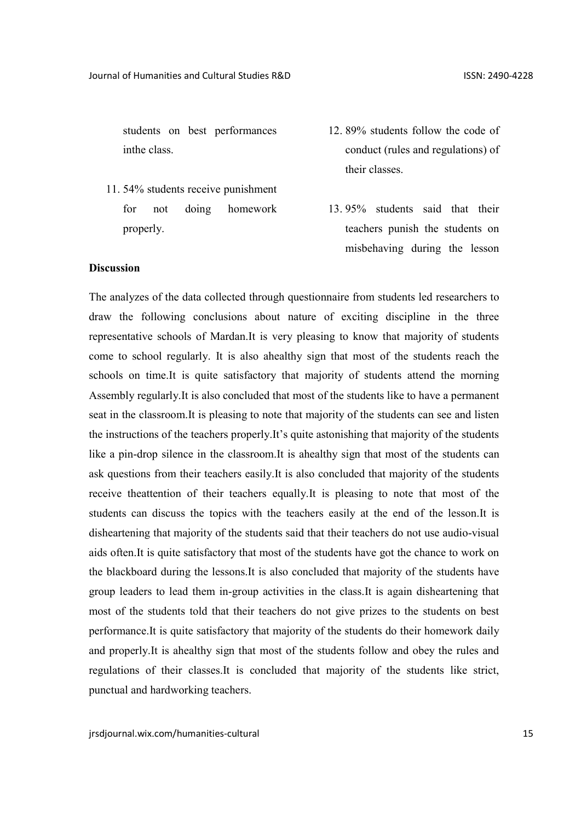students on best performances inthe class.

- 11. 54% students receive punishment for not doing homework properly.
- 12. 89% students follow the code of conduct (rules and regulations) of their classes.
- 13. 95% students said that their teachers punish the students on misbehaving during the lesson

#### **Discussion**

The analyzes of the data collected through questionnaire from students led researchers to draw the following conclusions about nature of exciting discipline in the three representative schools of Mardan.It is very pleasing to know that majority of students come to school regularly. It is also ahealthy sign that most of the students reach the schools on time.It is quite satisfactory that majority of students attend the morning Assembly regularly.It is also concluded that most of the students like to have a permanent seat in the classroom.It is pleasing to note that majority of the students can see and listen the instructions of the teachers properly.It's quite astonishing that majority of the students like a pin-drop silence in the classroom.It is ahealthy sign that most of the students can ask questions from their teachers easily.It is also concluded that majority of the students receive theattention of their teachers equally.It is pleasing to note that most of the students can discuss the topics with the teachers easily at the end of the lesson.It is disheartening that majority of the students said that their teachers do not use audio-visual aids often.It is quite satisfactory that most of the students have got the chance to work on the blackboard during the lessons.It is also concluded that majority of the students have group leaders to lead them in-group activities in the class.It is again disheartening that most of the students told that their teachers do not give prizes to the students on best performance.It is quite satisfactory that majority of the students do their homework daily and properly.It is ahealthy sign that most of the students follow and obey the rules and regulations of their classes.It is concluded that majority of the students like strict, punctual and hardworking teachers.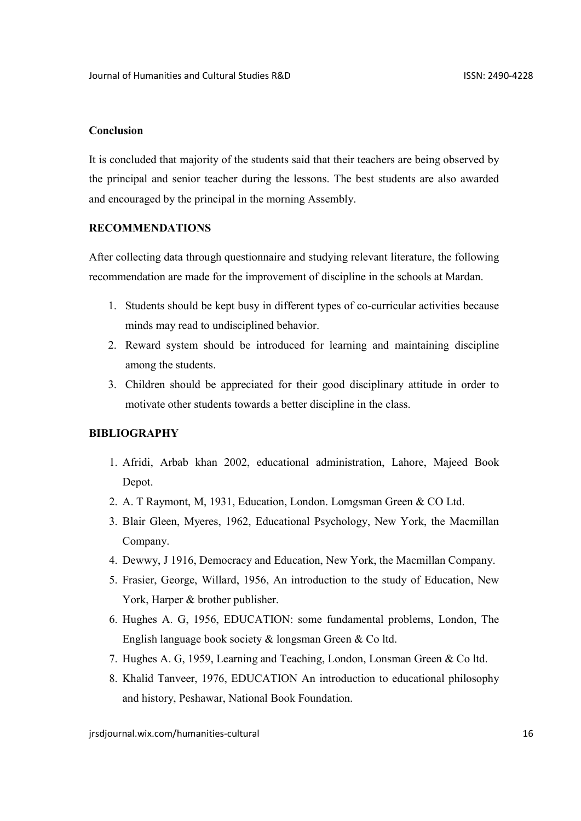#### Conclusion

It is concluded that majority of the students said that their teachers are being observed by the principal and senior teacher during the lessons. The best students are also awarded and encouraged by the principal in the morning Assembly.

#### RECOMMENDATIONS

After collecting data through questionnaire and studying relevant literature, the following recommendation are made for the improvement of discipline in the schools at Mardan.

- 1. Students should be kept busy in different types of co-curricular activities because minds may read to undisciplined behavior.
- 2. Reward system should be introduced for learning and maintaining discipline among the students.
- 3. Children should be appreciated for their good disciplinary attitude in order to motivate other students towards a better discipline in the class.

## **BIBLIOGRAPHY**

- 1. Afridi, Arbab khan 2002, educational administration, Lahore, Majeed Book Depot.
- 2. A. T Raymont, M, 1931, Education, London. Lomgsman Green & CO Ltd.
- 3. Blair Gleen, Myeres, 1962, Educational Psychology, New York, the Macmillan Company.
- 4. Dewwy, J 1916, Democracy and Education, New York, the Macmillan Company.
- 5. Frasier, George, Willard, 1956, An introduction to the study of Education, New York, Harper & brother publisher.
- 6. Hughes A. G, 1956, EDUCATION: some fundamental problems, London, The English language book society & longsman Green & Co ltd.
- 7. Hughes A. G, 1959, Learning and Teaching, London, Lonsman Green & Co ltd.
- 8. Khalid Tanveer, 1976, EDUCATION An introduction to educational philosophy and history, Peshawar, National Book Foundation.